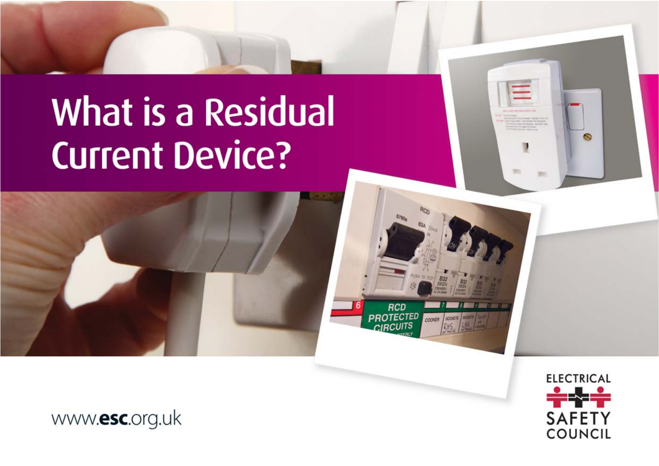# **What is a Residual Current Device?**



**ELECTRICAL SAFETY COUNCIL** 

**RCD PROTECTED** 

SOCKETS SOCKET

**MONER** 

 $\Omega$ 

www.esc.org.uk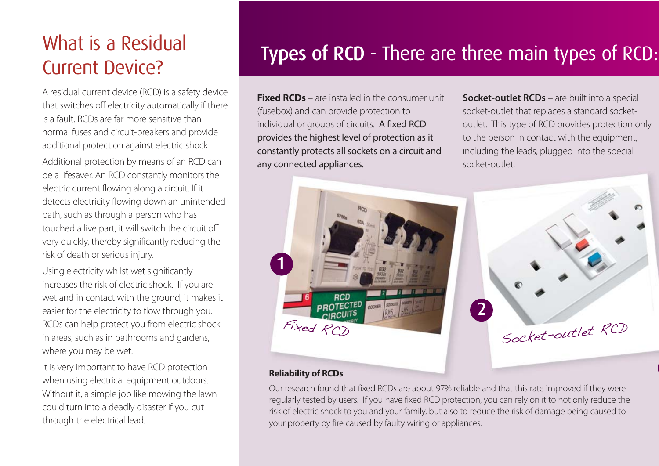# Current Device?

A residual current device (RCD) is a safety device that switches off electricity automatically if there is a fault. RCDs are far more sensitive than normal fuses and circuit-breakers and provide additional protection against electric shock.

Additional protection by means of an RCD can be a lifesaver. An RCD constantly monitors the electric current flowing along a circuit. If it detects electricity flowing down an unintended path, such as through a person who has touched a live part, it will switch the circuit off very quickly, thereby significantly reducing the risk of death or serious injury.

Using electricity whilst wet significantly increases the risk of electric shock. If you are wet and in contact with the ground, it makes it easier for the electricity to flow through you. RCDs can help protect you from electric shock in areas, such as in bathrooms and gardens, where you may be wet.

It is very important to have RCD protection when using electrical equipment outdoors. Without it, a simple job like mowing the lawn could turn into a deadly disaster if you cut through the electrical lead.

## What is a Residual<br>
Types of RCD - There are three main types of RCD:

**Fixed RCDs** – are installed in the consumer unit (fusebox) and can provide protection to individual or groups of circuits. A fixed RCD provides the highest level of protection as it constantly protects all sockets on a circuit and any connected appliances.

**Socket-outlet RCDs** – are built into a special socket-outlet that replaces a standard socketoutlet. This type of RCD provides protection only to the person in contact with the equipment, including the leads, plugged into the special socket-outlet.



#### **Reliability of RCDs**

Our research found that fixed RCDs are about 97% reliable and that this rate improved if they were regularly tested by users. If you have fixed RCD protection, you can rely on it to not only reduce the risk of electric shock to you and your family, but also to reduce the risk of damage being caused to your property by fire caused by faulty wiring or appliances.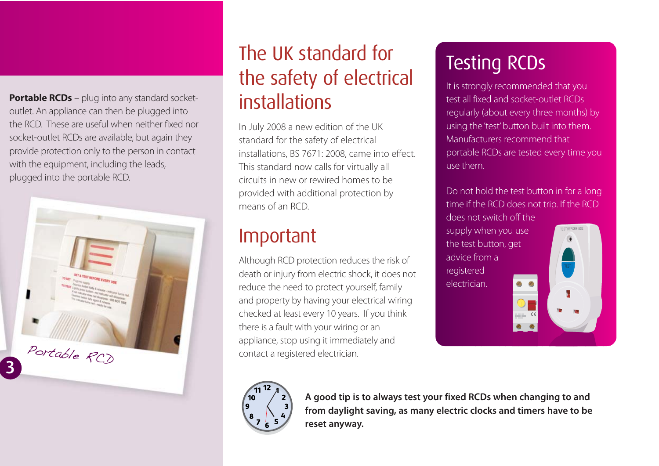**Portable RCDs** – plug into any standard socketoutlet. An appliance can then be plugged into the RCD. These are useful when neither fixed nor socket-outlet RCDs are available, but again they provide protection only to the person in contact with the equipment, including the leads, plugged into the portable RCD.



### The UK standard for the safety of electrical installations

In July 2008 a new edition of the UK standard for the safety of electrical installations, BS 7671: 2008, came into effect. This standard now calls for virtually all circuits in new or rewired homes to be provided with additional protection by means of an RCD.

#### Important

Although RCD protection reduces the risk of death or injury from electric shock, it does not reduce the need to protect yourself, family and property by having your electrical wiring checked at least every 10 years. If you think there is a fault with your wiring or an appliance, stop using it immediately and contact a registered electrician.

## Testing RCDs

It is strongly recommended that you test all fixed and socket-outlet RCDs regularly (about every three months) by using the 'test' button built into them. Manufacturers recommend that portable RCDs are tested every time you use them.

Do not hold the test button in for a long time if the RCD does not trip. If the RCD does not switch off the supply when you use the test button, get advice from a registered electrician.



**A good tip is to always test your fixed RCDs when changing to and from daylight saving, as many electric clocks and timers have to be reset anyway.**